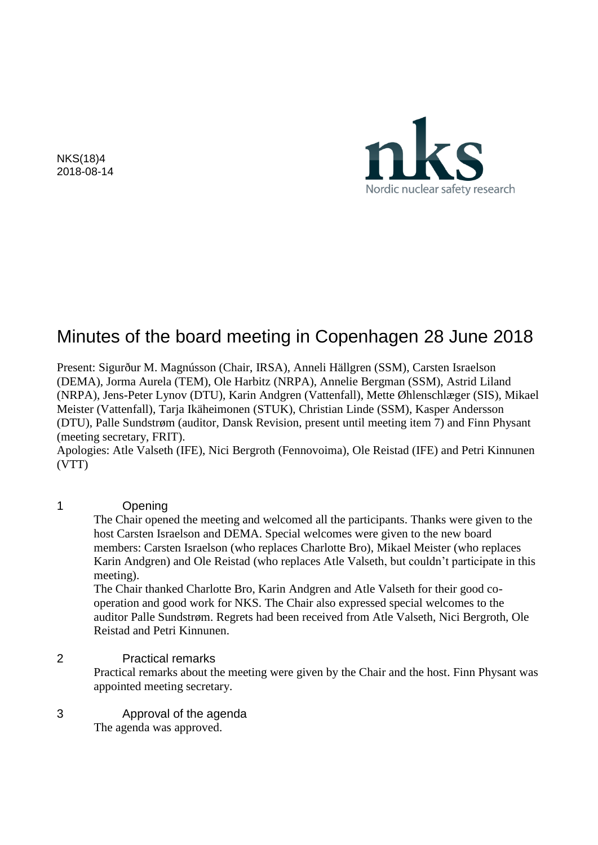NKS(18)4 2018-08-14



# Minutes of the board meeting in Copenhagen 28 June 2018

Present: Sigurður M. Magnússon (Chair, IRSA), Anneli Hällgren (SSM), Carsten Israelson (DEMA), Jorma Aurela (TEM), Ole Harbitz (NRPA), Annelie Bergman (SSM), Astrid Liland (NRPA), Jens-Peter Lynov (DTU), Karin Andgren (Vattenfall), Mette Øhlenschlæger (SIS), Mikael Meister (Vattenfall), Tarja Ikäheimonen (STUK), Christian Linde (SSM), Kasper Andersson (DTU), Palle Sundstrøm (auditor, Dansk Revision, present until meeting item 7) and Finn Physant (meeting secretary, FRIT).

Apologies: Atle Valseth (IFE), Nici Bergroth (Fennovoima), Ole Reistad (IFE) and Petri Kinnunen (VTT)

#### 1 Opening

The Chair opened the meeting and welcomed all the participants. Thanks were given to the host Carsten Israelson and DEMA. Special welcomes were given to the new board members: Carsten Israelson (who replaces Charlotte Bro), Mikael Meister (who replaces Karin Andgren) and Ole Reistad (who replaces Atle Valseth, but couldn't participate in this meeting).

The Chair thanked Charlotte Bro, Karin Andgren and Atle Valseth for their good cooperation and good work for NKS. The Chair also expressed special welcomes to the auditor Palle Sundstrøm. Regrets had been received from Atle Valseth, Nici Bergroth, Ole Reistad and Petri Kinnunen.

## 2 Practical remarks

Practical remarks about the meeting were given by the Chair and the host. Finn Physant was appointed meeting secretary.

3 Approval of the agenda The agenda was approved.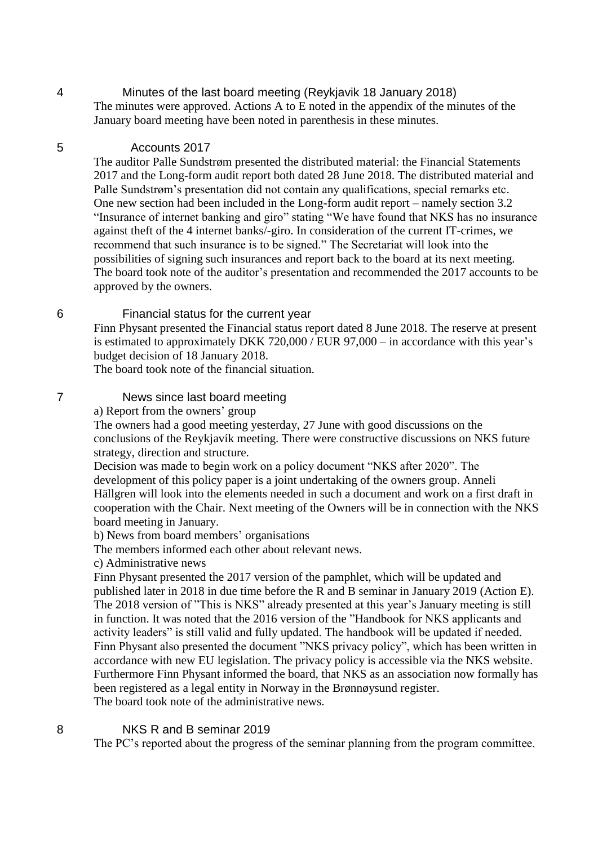4 Minutes of the last board meeting (Reykjavik 18 January 2018) The minutes were approved. Actions A to E noted in the appendix of the minutes of the January board meeting have been noted in parenthesis in these minutes.

#### 5 Accounts 2017

The auditor Palle Sundstrøm presented the distributed material: the Financial Statements 2017 and the Long-form audit report both dated 28 June 2018. The distributed material and Palle Sundstrøm's presentation did not contain any qualifications, special remarks etc. One new section had been included in the Long-form audit report – namely section 3.2 "Insurance of internet banking and giro" stating "We have found that NKS has no insurance against theft of the 4 internet banks/-giro. In consideration of the current IT-crimes, we recommend that such insurance is to be signed." The Secretariat will look into the possibilities of signing such insurances and report back to the board at its next meeting. The board took note of the auditor's presentation and recommended the 2017 accounts to be approved by the owners.

## 6 Financial status for the current year

Finn Physant presented the Financial status report dated 8 June 2018. The reserve at present is estimated to approximately DKK 720,000 / EUR 97,000 – in accordance with this year's budget decision of 18 January 2018.

The board took note of the financial situation.

## 7 News since last board meeting

a) Report from the owners' group

The owners had a good meeting yesterday, 27 June with good discussions on the conclusions of the Reykjavík meeting. There were constructive discussions on NKS future strategy, direction and structure.

Decision was made to begin work on a policy document "NKS after 2020". The development of this policy paper is a joint undertaking of the owners group. Anneli Hällgren will look into the elements needed in such a document and work on a first draft in cooperation with the Chair. Next meeting of the Owners will be in connection with the NKS board meeting in January.

b) News from board members' organisations

The members informed each other about relevant news.

c) Administrative news

Finn Physant presented the 2017 version of the pamphlet, which will be updated and published later in 2018 in due time before the R and B seminar in January 2019 (Action E). The 2018 version of "This is NKS" already presented at this year's January meeting is still in function. It was noted that the 2016 version of the "Handbook for NKS applicants and activity leaders" is still valid and fully updated. The handbook will be updated if needed. Finn Physant also presented the document "NKS privacy policy", which has been written in accordance with new EU legislation. The privacy policy is accessible via the NKS website. Furthermore Finn Physant informed the board, that NKS as an association now formally has been registered as a legal entity in Norway in the Brønnøysund register. The board took note of the administrative news.

# 8 NKS R and B seminar 2019

The PC's reported about the progress of the seminar planning from the program committee.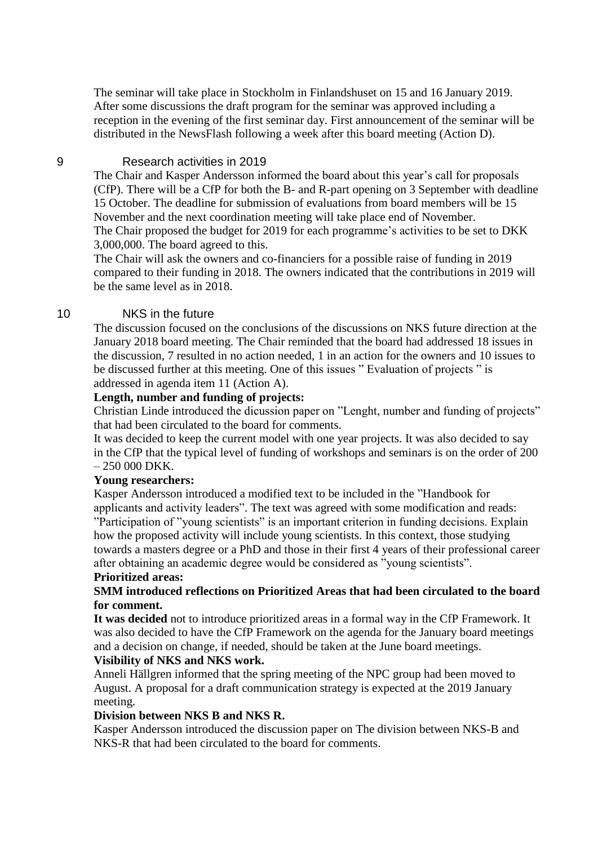The seminar will take place in Stockholm in Finlandshuset on 15 and 16 January 2019. After some discussions the draft program for the seminar was approved including a reception in the evening of the first seminar day. First announcement of the seminar will be distributed in the NewsFlash following a week after this board meeting (Action D).

## 9 Research activities in 2019

The Chair and Kasper Andersson informed the board about this year's call for proposals (CfP). There will be a CfP for both the B- and R-part opening on 3 September with deadline 15 October. The deadline for submission of evaluations from board members will be 15 November and the next coordination meeting will take place end of November. The Chair proposed the budget for 2019 for each programme's activities to be set to DKK 3,000,000. The board agreed to this.

The Chair will ask the owners and co-financiers for a possible raise of funding in 2019 compared to their funding in 2018. The owners indicated that the contributions in 2019 will be the same level as in 2018.

## 10 NKS in the future

The discussion focused on the conclusions of the discussions on NKS future direction at the January 2018 board meeting. The Chair reminded that the board had addressed 18 issues in the discussion, 7 resulted in no action needed, 1 in an action for the owners and 10 issues to be discussed further at this meeting. One of this issues " Evaluation of projects " is addressed in agenda item 11 (Action A).

#### **Length, number and funding of projects:**

Christian Linde introduced the dicussion paper on "Lenght, number and funding of projects" that had been circulated to the board for comments.

It was decided to keep the current model with one year projects. It was also decided to say in the CfP that the typical level of funding of workshops and seminars is on the order of 200 – 250 000 DKK.

#### **Young researchers:**

Kasper Andersson introduced a modified text to be included in the "Handbook for applicants and activity leaders". The text was agreed with some modification and reads: "Participation of "young scientists" is an important criterion in funding decisions. Explain how the proposed activity will include young scientists. In this context, those studying towards a masters degree or a PhD and those in their first 4 years of their professional career after obtaining an academic degree would be considered as "young scientists".

## **Prioritized areas:**

## **SMM introduced reflections on Prioritized Areas that had been circulated to the board for comment.**

**It was decided** not to introduce prioritized areas in a formal way in the CfP Framework. It was also decided to have the CfP Framework on the agenda for the January board meetings and a decision on change, if needed, should be taken at the June board meetings.

#### **Visibility of NKS and NKS work.**

Anneli Hällgren informed that the spring meeting of the NPC group had been moved to August. A proposal for a draft communication strategy is expected at the 2019 January meeting.

#### **Division between NKS B and NKS R.**

Kasper Andersson introduced the discussion paper on The division between NKS-B and NKS-R that had been circulated to the board for comments.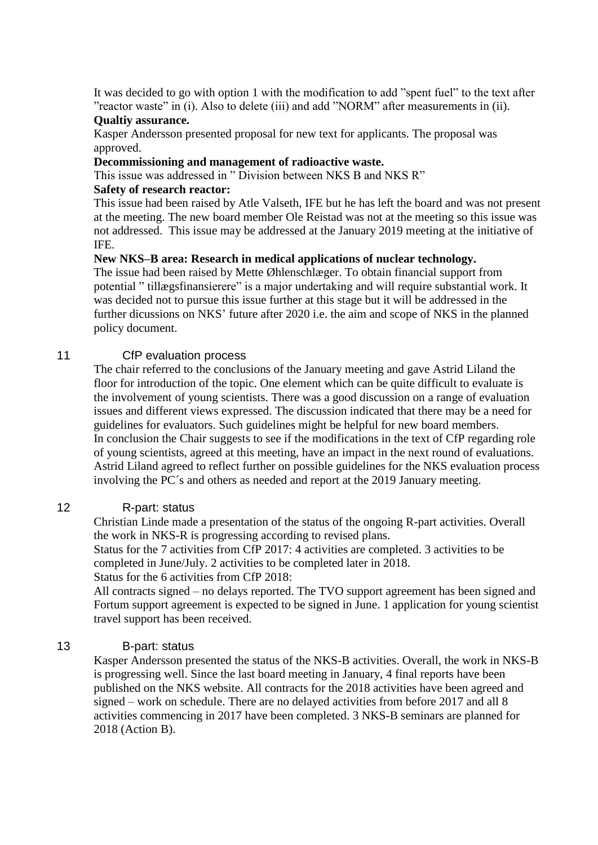It was decided to go with option 1 with the modification to add "spent fuel" to the text after "reactor waste" in (i). Also to delete (iii) and add "NORM" after measurements in (ii).

#### **Qualtiy assurance.**

Kasper Andersson presented proposal for new text for applicants. The proposal was approved.

## **Decommissioning and management of radioactive waste.**

This issue was addressed in " Division between NKS B and NKS R"

## **Safety of research reactor:**

This issue had been raised by Atle Valseth, IFE but he has left the board and was not present at the meeting. The new board member Ole Reistad was not at the meeting so this issue was not addressed. This issue may be addressed at the January 2019 meeting at the initiative of IFE.

# **New NKS–B area: Research in medical applications of nuclear technology.**

The issue had been raised by Mette Øhlenschlæger. To obtain financial support from potential " tillægsfinansierere" is a major undertaking and will require substantial work. It was decided not to pursue this issue further at this stage but it will be addressed in the further dicussions on NKS' future after 2020 i.e. the aim and scope of NKS in the planned policy document.

# 11 CfP evaluation process

The chair referred to the conclusions of the January meeting and gave Astrid Liland the floor for introduction of the topic. One element which can be quite difficult to evaluate is the involvement of young scientists. There was a good discussion on a range of evaluation issues and different views expressed. The discussion indicated that there may be a need for guidelines for evaluators. Such guidelines might be helpful for new board members. In conclusion the Chair suggests to see if the modifications in the text of CfP regarding role of young scientists, agreed at this meeting, have an impact in the next round of evaluations. Astrid Liland agreed to reflect further on possible guidelines for the NKS evaluation process involving the PC´s and others as needed and report at the 2019 January meeting.

# 12 R-part: status

Christian Linde made a presentation of the status of the ongoing R-part activities. Overall the work in NKS-R is progressing according to revised plans.

Status for the 7 activities from CfP 2017: 4 activities are completed. 3 activities to be completed in June/July. 2 activities to be completed later in 2018.

Status for the 6 activities from CfP 2018:

All contracts signed – no delays reported. The TVO support agreement has been signed and Fortum support agreement is expected to be signed in June. 1 application for young scientist travel support has been received.

# 13 B-part: status

Kasper Andersson presented the status of the NKS-B activities. Overall, the work in NKS-B is progressing well. Since the last board meeting in January, 4 final reports have been published on the NKS website. All contracts for the 2018 activities have been agreed and signed – work on schedule. There are no delayed activities from before 2017 and all 8 activities commencing in 2017 have been completed. 3 NKS-B seminars are planned for 2018 (Action B).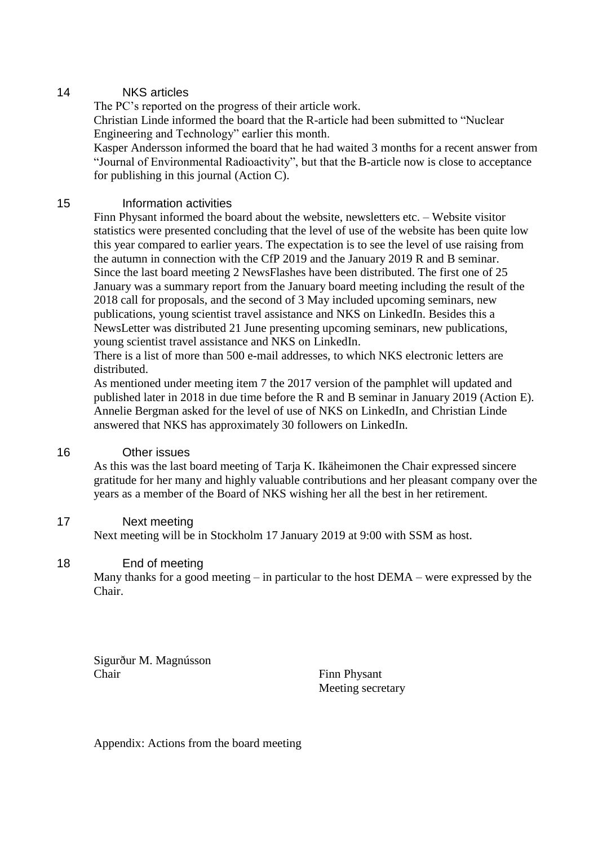# 14 NKS articles

The PC's reported on the progress of their article work.

Christian Linde informed the board that the R-article had been submitted to "Nuclear Engineering and Technology" earlier this month.

Kasper Andersson informed the board that he had waited 3 months for a recent answer from "Journal of Environmental Radioactivity", but that the B-article now is close to acceptance for publishing in this journal (Action C).

# 15 Information activities

Finn Physant informed the board about the website, newsletters etc. – Website visitor statistics were presented concluding that the level of use of the website has been quite low this year compared to earlier years. The expectation is to see the level of use raising from the autumn in connection with the CfP 2019 and the January 2019 R and B seminar. Since the last board meeting 2 NewsFlashes have been distributed. The first one of 25 January was a summary report from the January board meeting including the result of the 2018 call for proposals, and the second of 3 May included upcoming seminars, new publications, young scientist travel assistance and NKS on LinkedIn. Besides this a NewsLetter was distributed 21 June presenting upcoming seminars, new publications, young scientist travel assistance and NKS on LinkedIn.

There is a list of more than 500 e-mail addresses, to which NKS electronic letters are distributed.

As mentioned under meeting item 7 the 2017 version of the pamphlet will updated and published later in 2018 in due time before the R and B seminar in January 2019 (Action E). Annelie Bergman asked for the level of use of NKS on LinkedIn, and Christian Linde answered that NKS has approximately 30 followers on LinkedIn.

# 16 Other issues

As this was the last board meeting of Tarja K. Ikäheimonen the Chair expressed sincere gratitude for her many and highly valuable contributions and her pleasant company over the years as a member of the Board of NKS wishing her all the best in her retirement.

# 17 Next meeting

Next meeting will be in Stockholm 17 January 2019 at 9:00 with SSM as host.

# 18 End of meeting

Many thanks for a good meeting – in particular to the host DEMA – were expressed by the Chair.

Sigurður M. Magnússon Chair Finn Physant

Meeting secretary

Appendix: Actions from the board meeting